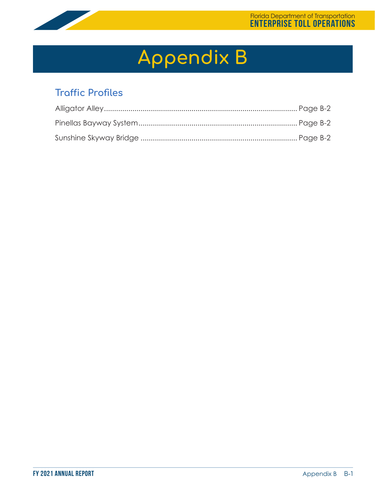

# **Appendix B**

### **Traffic Profiles**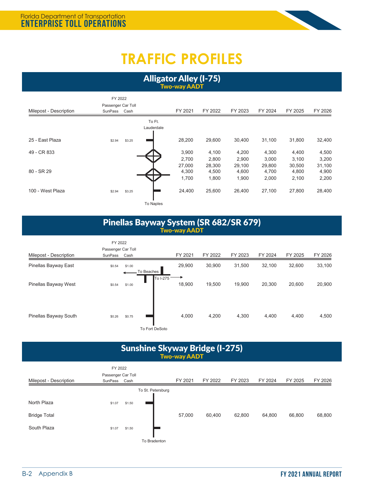

## **TRAFFIC PROFILES**

Alligator Alley (I-75) Two-way AADT

|                        | FY 2022            |        |            |         |         |         |         |         |         |
|------------------------|--------------------|--------|------------|---------|---------|---------|---------|---------|---------|
|                        | Passenger Car Toll |        |            |         |         |         |         |         |         |
| Milepost - Description | SunPass            | Cash   |            | FY 2021 | FY 2022 | FY 2023 | FY 2024 | FY 2025 | FY 2026 |
|                        |                    |        | To Ft.     |         |         |         |         |         |         |
|                        |                    |        | Lauderdale |         |         |         |         |         |         |
|                        |                    |        |            |         |         |         |         |         |         |
| 25 - East Plaza        | \$2.94             | \$3.25 |            | 28,200  | 29,600  | 30,400  | 31,100  | 31,800  | 32,400  |
| 49 - CR 833            |                    |        |            | 3,900   | 4,100   | 4,200   | 4,300   | 4,400   | 4,500   |
|                        |                    |        |            | 2,700   | 2,800   | 2,900   | 3,000   | 3,100   | 3,200   |
|                        |                    |        |            | 27,000  | 28,300  | 29,100  | 29,800  | 30,500  | 31,100  |
| 80 - SR 29             |                    |        |            | 4,300   | 4,500   | 4,600   | 4,700   | 4,800   | 4,900   |
|                        |                    |        |            | 1,700   | 1,800   | 1,900   | 2,000   | 2,100   | 2,200   |
| 100 - West Plaza       | \$2.94             | \$3.25 |            | 24,400  | 25,600  | 26,400  | 27,100  | 27,800  | 28,400  |
|                        |                    |        |            |         |         |         |         |         |         |
|                        |                    |        | To Naples  |         |         |         |         |         |         |

#### Pinellas Bayway System (SR 682/SR 679) Two-way AADT

|        |        |                                                  |                              |         |         |         |         | FY 2026 |
|--------|--------|--------------------------------------------------|------------------------------|---------|---------|---------|---------|---------|
| \$0.54 | \$1.00 |                                                  | 29,900                       | 30,900  | 31,500  | 32,100  | 32,600  | 33,100  |
| \$0.54 | \$1.00 | To I-275                                         | 18,900                       | 19,500  | 19,900  | 20,300  | 20,600  | 20,900  |
| \$0.26 | \$0.75 |                                                  | 4,000                        | 4,200   | 4,300   | 4,400   | 4,400   | 4,500   |
|        |        | FY 2022<br>Passenger Car Toll<br>SunPass<br>Cash | To Beaches<br>To Fort DeSoto | FY 2021 | FY 2022 | FY 2023 | FY 2024 | FY 2025 |

| <b>Sunshine Skyway Bridge (I-275)</b><br><b>Two-way AADT</b> |                                          |        |                   |         |         |         |         |         |         |  |  |
|--------------------------------------------------------------|------------------------------------------|--------|-------------------|---------|---------|---------|---------|---------|---------|--|--|
| Milepost - Description                                       | FY 2022<br>Passenger Car Toll<br>SunPass | Cash   |                   | FY 2021 | FY 2022 | FY 2023 | FY 2024 | FY 2025 | FY 2026 |  |  |
| North Plaza<br><b>Bridge Total</b>                           | \$1.07                                   | \$1.50 | To St. Petersburg | 57,000  | 60.400  | 62,800  | 64.800  | 66,800  | 68,800  |  |  |
| South Plaza                                                  | \$1.07                                   | \$1.50 | To Bradenton      |         |         |         |         |         |         |  |  |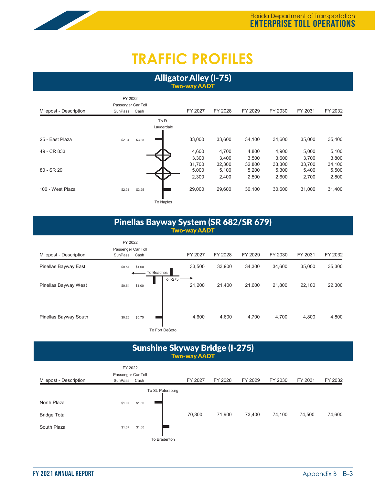### **TRAFFIC PROFILES**

Alligator Alley (I-75) Two-way AADT

|                        | FY 2022            |        |            |         |         |         |         |         |         |
|------------------------|--------------------|--------|------------|---------|---------|---------|---------|---------|---------|
|                        | Passenger Car Toll |        |            |         |         |         |         |         |         |
| Milepost - Description | SunPass            | Cash   |            | FY 2027 | FY 2028 | FY 2029 | FY 2030 | FY 2031 | FY 2032 |
|                        |                    |        | To Ft.     |         |         |         |         |         |         |
|                        |                    |        | Lauderdale |         |         |         |         |         |         |
| 25 - East Plaza        | \$2.94             | \$3.25 |            | 33,000  | 33,600  | 34,100  | 34,600  | 35,000  | 35,400  |
| 49 - CR 833            |                    |        |            | 4,600   | 4,700   | 4,800   | 4,900   | 5,000   | 5,100   |
|                        |                    |        |            | 3,300   | 3,400   | 3,500   | 3,600   | 3,700   | 3,800   |
|                        |                    |        |            | 31,700  | 32,300  | 32,800  | 33,300  | 33,700  | 34,100  |
| 80 - SR 29             |                    |        |            | 5,000   | 5,100   | 5,200   | 5,300   | 5,400   | 5,500   |
|                        |                    |        |            | 2,300   | 2,400   | 2,500   | 2,600   | 2,700   | 2,800   |
| 100 - West Plaza       | \$2.94             | \$3.25 |            | 29,000  | 29,600  | 30,100  | 30,600  | 31,000  | 31,400  |
|                        |                    |        | To Naples  |         |         |         |         |         |         |

#### Pinellas Bayway System (SR 682/SR 679) Two-way AADT

|                        | FY 2022<br>Passenger Car Toll |        |                         |         |         |         |         |         |         |
|------------------------|-------------------------------|--------|-------------------------|---------|---------|---------|---------|---------|---------|
| Milepost - Description | SunPass                       | Cash   |                         | FY 2027 | FY 2028 | FY 2029 | FY 2030 | FY 2031 | FY 2032 |
| Pinellas Bayway East   | \$0.54                        | \$1.00 | To Beaches              | 33,500  | 33,900  | 34,300  | 34,600  | 35,000  | 35,300  |
| Pinellas Bayway West   | \$0.54                        | \$1.00 | To I-275                | 21,200  | 21,400  | 21,600  | 21,800  | 22,100  | 22,300  |
| Pinellas Bayway South  | \$0.26                        | \$0.75 | $T = F + H \cdot 2 + H$ | 4,600   | 4,600   | 4,700   | 4,700   | 4,800   | 4,800   |

To Fort DeSoto

#### Sunshine Skyway Bridge (I-275) Two-way AADT

| FY 2022                |                    |        |                   |         |         |         |         |         |         |
|------------------------|--------------------|--------|-------------------|---------|---------|---------|---------|---------|---------|
|                        | Passenger Car Toll |        |                   | FY 2027 | FY 2028 | FY 2029 | FY 2030 | FY 2031 | FY 2032 |
| Milepost - Description | SunPass Cash       |        |                   |         |         |         |         |         |         |
|                        |                    |        | To St. Petersburg |         |         |         |         |         |         |
| North Plaza            | \$1.07             | \$1.50 |                   |         |         |         |         |         |         |
| <b>Bridge Total</b>    |                    |        |                   | 70,300  | 71,900  | 73,400  | 74,100  | 74,500  | 74,600  |
| South Plaza            | \$1.07             | \$1.50 |                   |         |         |         |         |         |         |
|                        |                    |        | To Bradenton      |         |         |         |         |         |         |